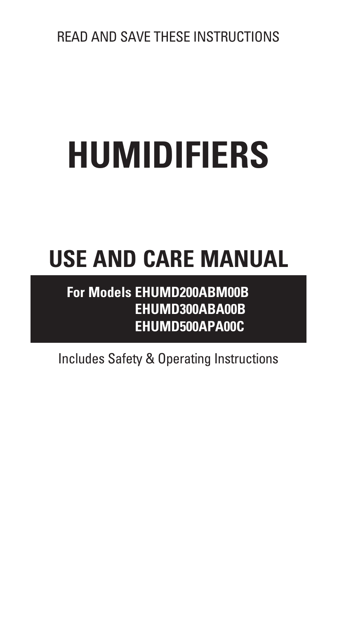# **HUMIDIFIERS**

# **USE AND CARE MANUAL**

# **For Models EHUMD200ABM00B EHUMD300ABA00B EHUMD500APA00C**

Includes Safety & Operating Instructions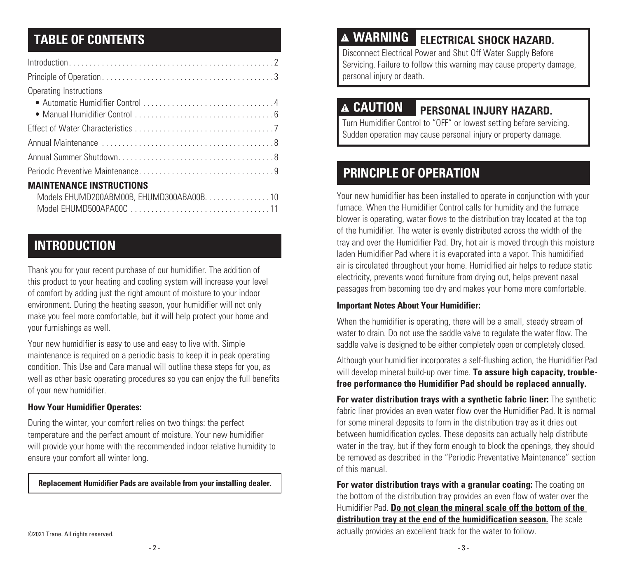| Operating Instructions                    |
|-------------------------------------------|
|                                           |
|                                           |
|                                           |
|                                           |
|                                           |
|                                           |
| <b>MAINTENANCE INSTRUCTIONS</b>           |
| Models EHUMD200ABM00B, EHUMD300ABA00B. 10 |
|                                           |

# **INTRODUCTION**

Thank you for your recent purchase of our humidifier. The addition of this product to your heating and cooling system will increase your level of comfort by adding just the right amount of moisture to your indoor environment. During the heating season, your humidifier will not only make you feel more comfortable, but it will help protect your home and your furnishings as well.

Your new humidifier is easy to use and easy to live with. Simple maintenance is required on a periodic basis to keep it in peak operating condition. This Use and Care manual will outline these steps for you, as well as other basic operating procedures so you can enjoy the full benefits of your new humidifier.

### **How Your Humidifier Operates:**

During the winter, your comfort relies on two things: the perfect temperature and the perfect amount of moisture. Your new humidifier will provide your home with the recommended indoor relative humidity to ensure your comfort all winter long.

#### **Replacement Humidifier Pads are available from your installing dealer.**

# **TABLE OF CONTENTS**

Disconnect Electrical Power and Shut Off Water Supply Before Servicing. Failure to follow this warning may cause property damage, personal injury or death.

# **CAUTION PERSONAL INJURY HAZARD.**

Turn Humidifier Control to "OFF" or lowest setting before servicing. Sudden operation may cause personal injury or property damage.

# **PRINCIPLE OF OPERATION**

Your new humidifier has been installed to operate in conjunction with your furnace. When the Humidifier Control calls for humidity and the furnace blower is operating, water flows to the distribution tray located at the top of the humidifier. The water is evenly distributed across the width of the tray and over the Humidifier Pad. Dry, hot air is moved through this moisture laden Humidifier Pad where it is evaporated into a vapor. This humidified air is circulated throughout your home. Humidified air helps to reduce static electricity, prevents wood furniture from drying out, helps prevent nasal passages from becoming too dry and makes your home more comfortable.

### **Important Notes About Your Humidifier:**

When the humidifier is operating, there will be a small, steady stream of water to drain. Do not use the saddle valve to regulate the water flow. The saddle valve is designed to be either completely open or completely closed.

Although your humidifier incorporates a self-flushing action, the Humidifier Pad will develop mineral build-up over time. **To assure high capacity, troublefree performance the Humidifier Pad should be replaced annually.**

**For water distribution trays with a synthetic fabric liner:** The synthetic fabric liner provides an even water flow over the Humidifier Pad. It is normal for some mineral deposits to form in the distribution tray as it dries out between humidification cycles. These deposits can actually help distribute water in the tray, but if they form enough to block the openings, they should be removed as described in the "Periodic Preventative Maintenance" section of this manual.

**For water distribution trays with a granular coating:** The coating on the bottom of the distribution tray provides an even flow of water over the Humidifier Pad. **Do not clean the mineral scale off the bottom of the distribution tray at the end of the humidification season.** The scale actually provides an excellent track for the water to follow.

©2021 Trane. All rights reserved.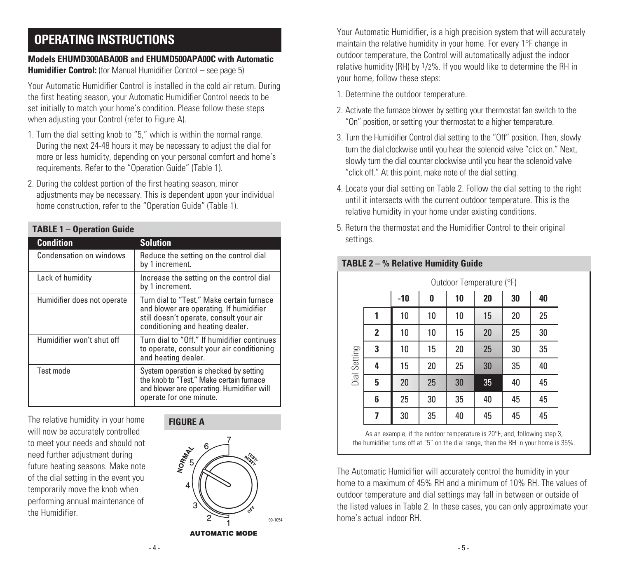# **OPERATING INSTRUCTIONS**

# **Models EHUMD300ABA00B and EHUMD500APA00C with Automatic Humidifier Control:** (for Manual Humidifier Control – see page 5)

Your Automatic Humidifier Control is installed in the cold air return. During the first heating season, your Automatic Humidifier Control needs to be set initially to match your home's condition. Please follow these steps when adjusting your Control (refer to Figure A).

- 1. Turn the dial setting knob to "5," which is within the normal range. During the next 24-48 hours it may be necessary to adjust the dial for more or less humidity, depending on your personal comfort and home's requirements. Refer to the "Operation Guide" (Table 1).
- 2. During the coldest portion of the first heating season, minor adjustments may be necessary. This is dependent upon your individual home construction, refer to the "Operation Guide" (Table 1).

| <b>TABLE 1 - Operation Guide</b> |                                                                                                                                                                     |  |  |
|----------------------------------|---------------------------------------------------------------------------------------------------------------------------------------------------------------------|--|--|
| <b>Condition</b>                 | <b>Solution</b>                                                                                                                                                     |  |  |
| Condensation on windows          | Reduce the setting on the control dial<br>by 1 increment.                                                                                                           |  |  |
| Lack of humidity                 | Increase the setting on the control dial<br>by 1 increment.                                                                                                         |  |  |
| Humidifier does not operate      | Turn dial to "Test." Make certain furnace<br>and blower are operating. If humidifier<br>still doesn't operate, consult your air<br>conditioning and heating dealer. |  |  |
| Humidifier won't shut off        | Turn dial to "Off." If humidifier continues<br>to operate, consult your air conditioning<br>and heating dealer.                                                     |  |  |
| Test mode                        | System operation is checked by setting<br>the knob to "Test." Make certain furnace<br>and blower are operating. Humidifier will<br>operate for one minute.          |  |  |

The relative humidity in your home will now be accurately controlled to meet your needs and should not need further adjustment during future heating seasons. Make note of the dial setting in the event you temporarily move the knob when performing annual maintenance of the Humidifier.

#### **FIGURE A**



**AUTOMATIC MODE** 

Your Automatic Humidifier, is a high precision system that will accurately maintain the relative humidity in your home. For every 1°F change in outdoor temperature, the Control will automatically adjust the indoor relative humidity (RH) by  $1/2\%$ . If you would like to determine the RH in your home, follow these steps:

- 1. Determine the outdoor temperature.
- 2. Activate the furnace blower by setting your thermostat fan switch to the "On" position, or setting your thermostat to a higher temperature.
- 3. Turn the Humidifier Control dial setting to the "Off" position. Then, slowly turn the dial clockwise until you hear the solenoid valve "click on." Next, slowly turn the dial counter clockwise until you hear the solenoid valve "click off." At this point, make note of the dial setting.
- 4. Locate your dial setting on Table 2. Follow the dial setting to the right until it intersects with the current outdoor temperature. This is the relative humidity in your home under existing conditions.
- 5. Return the thermostat and the Humidifier Control to their original settings.

|              |   | Outdoor Temperature (°F) |    |    |    |    |    |
|--------------|---|--------------------------|----|----|----|----|----|
|              |   | $-10$                    | 0  | 10 | 20 | 30 | 40 |
| Dial Setting | 1 | 10                       | 10 | 10 | 15 | 20 | 25 |
|              | 2 | 10                       | 10 | 15 | 20 | 25 | 30 |
|              | 3 | 10                       | 15 | 20 | 25 | 30 | 35 |
|              | 4 | 15                       | 20 | 25 | 30 | 35 | 40 |
|              | 5 | 20                       | 25 | 30 | 35 | 40 | 45 |
|              | 6 | 25                       | 30 | 35 | 40 | 45 | 45 |
|              | 7 | 30                       | 35 | 40 | 45 | 45 | 45 |

## **TABLE 2 – % Relative Humidity Guide**

As an example, if the outdoor temperature is 20°F, and, following step 3, the humidifier turns off at "5" on the dial range, then the RH in your home is 35%.

The Automatic Humidifier will accurately control the humidity in your home to a maximum of 45% RH and a minimum of 10% RH. The values of outdoor temperature and dial settings may fall in between or outside of the listed values in Table 2. In these cases, you can only approximate your home's actual indoor RH.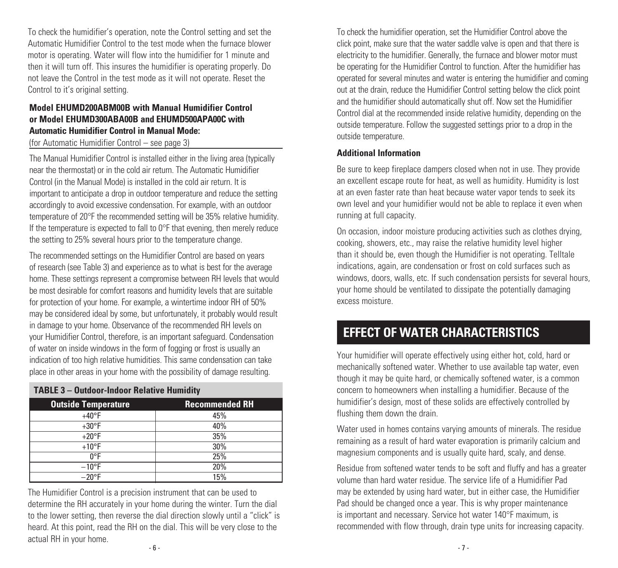To check the humidifier's operation, note the Control setting and set the Automatic Humidifier Control to the test mode when the furnace blower motor is operating. Water will flow into the humidifier for 1 minute and then it will turn off. This insures the humidifier is operating properly. Do not leave the Control in the test mode as it will not operate. Reset the Control to it's original setting.

# **Model EHUMD200ABM00B with Manual Humidifier Control or Model EHUMD300ABA00B and EHUMD500APA00C with Automatic Humidifier Control in Manual Mode:**

(for Automatic Humidifier Control – see page 3)

The Manual Humidifier Control is installed either in the living area (typically near the thermostat) or in the cold air return. The Automatic Humidifier Control (in the Manual Mode) is installed in the cold air return. It is important to anticipate a drop in outdoor temperature and reduce the setting accordingly to avoid excessive condensation. For example, with an outdoor temperature of 20°F the recommended setting will be 35% relative humidity. If the temperature is expected to fall to  $0^{\circ}$ F that evening, then merely reduce the setting to 25% several hours prior to the temperature change.

The recommended settings on the Humidifier Control are based on years of research (see Table 3) and experience as to what is best for the average home. These settings represent a compromise between RH levels that would be most desirable for comfort reasons and humidity levels that are suitable for protection of your home. For example, a wintertime indoor RH of 50% may be considered ideal by some, but unfortunately, it probably would result in damage to your home. Observance of the recommended RH levels on your Humidifier Control, therefore, is an important safeguard. Condensation of water on inside windows in the form of fogging or frost is usually an indication of too high relative humidities. This same condensation can take place in other areas in your home with the possibility of damage resulting.

| <b>Outside Temperature</b> | <b>Recommended RH</b> |
|----------------------------|-----------------------|
| $+40^{\circ}F$             | 45%                   |
| $+30^{\circ}F$             | 40%                   |
| $+20^{\circ}F$             | 35%                   |
| $+10$ °F                   | 30%                   |
| 0°F                        | 25%                   |
| $-10$ °F                   | 20%                   |
| $-20^{\circ}F$             | 15%                   |

**TABLE 3 – Outdoor-Indoor Relative Humidity**

## The Humidifier Control is a precision instrument that can be used to determine the RH accurately in your home during the winter. Turn the dial to the lower setting, then reverse the dial direction slowly until a "click" is heard. At this point, read the RH on the dial. This will be very close to the actual RH in your home.

To check the humidifier operation, set the Humidifier Control above the click point, make sure that the water saddle valve is open and that there is electricity to the humidifier. Generally, the furnace and blower motor must be operating for the Humidifier Control to function. After the humidifier has operated for several minutes and water is entering the humidifier and coming out at the drain, reduce the Humidifier Control setting below the click point and the humidifier should automatically shut off. Now set the Humidifier Control dial at the recommended inside relative humidity, depending on the outside temperature. Follow the suggested settings prior to a drop in the outside temperature.

### **Additional Information**

Be sure to keep fireplace dampers closed when not in use. They provide an excellent escape route for heat, as well as humidity. Humidity is lost at an even faster rate than heat because water vapor tends to seek its own level and your humidifier would not be able to replace it even when running at full capacity.

On occasion, indoor moisture producing activities such as clothes drying, cooking, showers, etc., may raise the relative humidity level higher than it should be, even though the Humidifier is not operating. Telltale indications, again, are condensation or frost on cold surfaces such as windows, doors, walls, etc. If such condensation persists for several hours, your home should be ventilated to dissipate the potentially damaging excess moisture.

# **EFFECT OF WATER CHARACTERISTICS**

Your humidifier will operate effectively using either hot, cold, hard or mechanically softened water. Whether to use available tap water, even though it may be quite hard, or chemically softened water, is a common concern to homeowners when installing a humidifier. Because of the humidifier's design, most of these solids are effectively controlled by flushing them down the drain.

Water used in homes contains varying amounts of minerals. The residue remaining as a result of hard water evaporation is primarily calcium and magnesium components and is usually quite hard, scaly, and dense.

Residue from softened water tends to be soft and fluffy and has a greater volume than hard water residue. The service life of a Humidifier Pad may be extended by using hard water, but in either case, the Humidifier Pad should be changed once a year. This is why proper maintenance is important and necessary. Service hot water 140°F maximum, is recommended with flow through, drain type units for increasing capacity.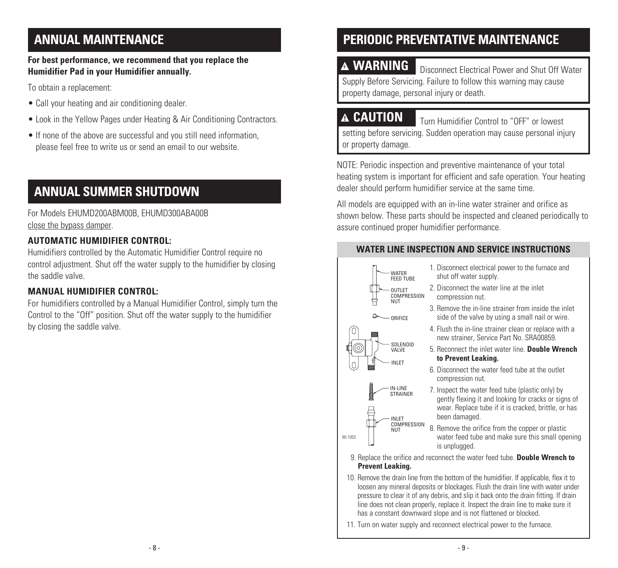# **ANNUAL MAINTENANCE**

# **For best performance, we recommend that you replace the Humidifier Pad in your Humidifier annually.**

To obtain a replacement:

- Call your heating and air conditioning dealer.
- Look in the Yellow Pages under Heating & Air Conditioning Contractors.
- If none of the above are successful and you still need information, please feel free to write us or send an email to our website.

# **ANNUAL SUMMER SHUTDOWN**

For Models EHUMD200ABM00B, EHUMD300ABA00B close the bypass damper.

# **AUTOMATIC HUMIDIFIER CONTROL:**

Humidifiers controlled by the Automatic Humidifier Control require no control adjustment. Shut off the water supply to the humidifier by closing the saddle valve.

# **MANUAL HUMIDIFIER CONTROL:**

For humidifiers controlled by a Manual Humidifier Control, simply turn the Control to the "Off" position. Shut off the water supply to the humidifier by closing the saddle valve.

# **PERIODIC PREVENTATIVE MAINTENANCE**

**A WARNING Disconnect Electrical Power and Shut Off Water** Supply Before Servicing. Failure to follow this warning may cause property damage, personal injury or death.

**CAUTION** Turn Humidifier Control to "OFF" or lowest setting before servicing. Sudden operation may cause personal injury or property damage.

NOTE: Periodic inspection and preventive maintenance of your total heating system is important for efficient and safe operation. Your heating dealer should perform humidifier service at the same time.

All models are equipped with an in-line water strainer and orifice as shown below. These parts should be inspected and cleaned periodically to assure continued proper humidifier performance.

# **WATER LINE INSPECTION AND SERVICE INSTRUCTIONS**



- 1. Disconnect electrical power to the furnace and shut off water supply.
- 2. Disconnect the water line at the inlet compression nut.
- 3. Remove the in-line strainer from inside the inlet side of the valve by using a small nail or wire.
- 4. Flush the in-line strainer clean or replace with a new strainer, Service Part No. SRA00859
- 5. Reconnect the inlet water line. **Double Wrench to Prevent Leaking.**
- 6. Disconnect the water feed tube at the outlet compression nut.
- 7. Inspect the water feed tube (plastic only) by gently flexing it and looking for cracks or signs of wear. Replace tube if it is cracked, brittle, or has been damaged.

8. Remove the orifice from the copper or plastic water feed tube and make sure this small opening is unplugged.

- 9. Replace the orifice and reconnect the water feed tube. **Double Wrench to Prevent Leaking.**
- 10. Remove the drain line from the bottom of the humidifier. If applicable, flex it to loosen any mineral deposits or blockages. Flush the drain line with water under pressure to clear it of any debris, and slip it back onto the drain fitting. If drain line does not clean properly, replace it. Inspect the drain line to make sure it has a constant downward slope and is not flattened or blocked.

11. Turn on water supply and reconnect electrical power to the furnace.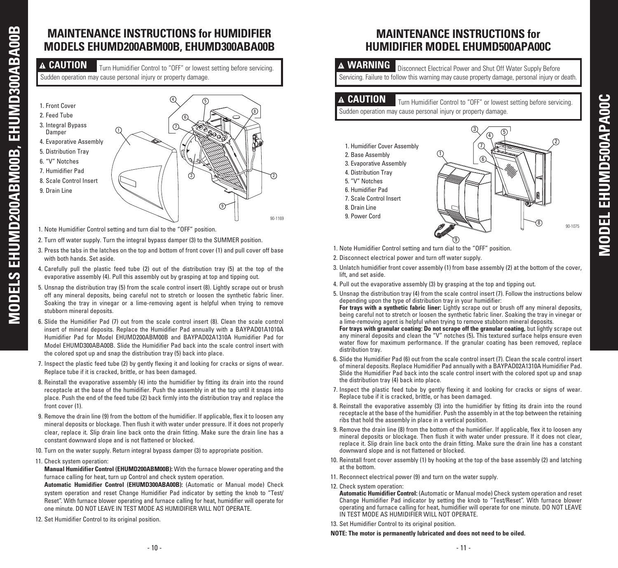# **MAINTENANCE INSTRUCTIONS for HUMIDIFIER MODELS EHUMD200ABM00B, EHUMD300ABA00B**

**A CAUTION** Turn Humidifier Control to "OFF" or lowest setting before servicing. Sudden operation may cause personal injury or property damage.



- 1. Note Humidifier Control setting and turn dial to the "OFF" position.
- 2. Turn off water supply. Turn the integral bypass damper (3) to the SUMMER position.
- 3. Press the tabs in the latches on the top and bottom of front cover (1) and pull cover off base with both hands. Set aside.
- 4. Carefully pull the plastic feed tube (2) out of the distribution tray (5) at the top of the evaporative assembly (4). Pull this assembly out by grasping at top and tipping out.
- 5. Unsnap the distribution tray (5) from the scale control insert (8). Lightly scrape out or brush off any mineral deposits, being careful not to stretch or loosen the synthetic fabric liner. Soaking the tray in vinegar or a lime-removing agent is helpful when trying to remove stubborn mineral deposits.
- 6. Slide the Humidifier Pad (7) out from the scale control insert (8). Clean the scale control insert of mineral deposits. Replace the Humidifier Pad annually with a BAYPAD01A1010A Humidifier Pad for Model EHUMD200ABM00B and BAYPAD02A1310A Humidifier Pad for Model EHUMD300ABA00B. Slide the Humidifier Pad back into the scale control insert with the colored spot up and snap the distribution tray (5) back into place.
- 7. Inspect the plastic feed tube (2) by gently flexing it and looking for cracks or signs of wear. Replace tube if it is cracked, brittle, or has been damaged.
- 8. Reinstall the evaporative assembly (4) into the humidifier by fitting its drain into the round receptacle at the base of the humidifier. Push the assembly in at the top until it snaps into place. Push the end of the feed tube (2) back firmly into the distribution tray and replace the front cover (1).
- 9. Remove the drain line (9) from the bottom of the humidifier. If applicable, flex it to loosen any mineral deposits or blockage. Then flush it with water under pressure. If it does not properly clear, replace it. Slip drain line back onto the drain fitting. Make sure the drain line has a constant downward slope and is not flattened or blocked.
- 10. Turn on the water supply. Return integral bypass damper (3) to appropriate position.
- 11. Check system operation:

**MODELS EHUMD200ABM00B, EHUMD300ABA00B**

**MODELS EHUMD200ABM00B,** 

EHUMD300ABA00B

- **Manual Humidifier Control (EHUMD200ABM00B):** With the furnace blower operating and the furnace calling for heat, turn up Control and check system operation.
- **Automatic Humidifier Control (EHUMD300ABA00B):** (Automatic or Manual mode) Check system operation and reset Change Humidifier Pad indicator by setting the knob to "Test/ Reset". With furnace blower operating and furnace calling for heat, humidifier will operate for one minute. DO NOT LEAVE IN TEST MODE AS HUMIDIFIER WILL NOT OPERATE.
- 12. Set Humidifier Control to its original position.

# **MAINTENANCE INSTRUCTIONS for HUMIDIFIER MODEL EHUMD500APA00C**

**A WARNING Disconnect Electrical Power and Shut Off Water Supply Before** Servicing. Failure to follow this warning may cause property damage, personal injury or death.

**A CAUTION** Turn Humidifier Control to "OFF" or lowest setting before servicing. Sudden operation may cause personal injury or property damage.

- 1. Humidifier Cover Assembly
- 2. Base Assembly 3. Evaporative Assembly
- 4. Distribution Tray
- 5. "V" Notches
- 6. Humidifier Pad
- 7. Scale Control Insert
- 8. Drain Line
- 9. Power Cord



- 1. Note Humidifier Control setting and turn dial to the "OFF" position.
- 2. Disconnect electrical power and turn off water supply.
- 3. Unlatch humidifier front cover assembly (1) from base assembly (2) at the bottom of the cover, lift, and set aside.
- 4. Pull out the evaporative assembly (3) by grasping at the top and tipping out.
- 5. Unsnap the distribution tray (4) from the scale control insert (7). Follow the instructions below depending upon the type of distribution tray in your humidifier:

 **For trays with a synthetic fabric liner:** Lightly scrape out or brush off any mineral deposits, being careful not to stretch or loosen the synthetic fabric liner. Soaking the tray in vinegar or a lime-removing agent is helpful when trying to remove stubborn mineral deposits.

 **For trays with granular coating: Do not scrape off the granular coating,** but lightly scrape out any mineral deposits and clean the "V" notches (5)**.** This textured surface helps ensure even water flow for maximum performance. If the granular coating has been removed, replace distribution tray.

- 6. Slide the Humidifier Pad (6) out from the scale control insert (7). Clean the scale control insert of mineral deposits. Replace Humidifier Pad annually with a BAYPAD02A1310A Humidifier Pad. Slide the Humidifier Pad back into the scale control insert with the colored spot up and snap the distribution tray (4) back into place.
- 7. Inspect the plastic feed tube by gently flexing it and looking for cracks or signs of wear. Replace tube if it is cracked, brittle, or has been damaged.
- 8. Reinstall the evaporative assembly (3) into the humidifier by fitting its drain into the round receptacle at the base of the humidifier. Push the assembly in at the top between the retaining ribs that hold the assembly in place in a vertical position.
- 9. Remove the drain line (8) from the bottom of the humidifier. If applicable, flex it to loosen any mineral deposits or blockage. Then flush it with water under pressure. If it does not clear, replace it. Slip drain line back onto the drain fitting. Make sure the drain line has a constant downward slope and is not flattened or blocked.
- 10. Reinstall front cover assembly (1) by hooking at the top of the base assembly (2) and latching at the bottom.
- 11. Reconnect electrical power (9) and turn on the water supply.
- 12. Check system operation:
	- **Automatic Humidifier Control:** (Automatic or Manual mode) Check system operation and reset Change Humidifier Pad indicator by setting the knob to "Test/Reset". With furnace blower operating and furnace calling for heat, humidifier will operate for one minute. DO NOT LEAVE IN TEST MODE AS HUMIDIFIER WILL NOT OPERATE.
- 13. Set Humidifier Control to its original position.

#### **NOTE: The motor is permanently lubricated and does not need to be oiled.**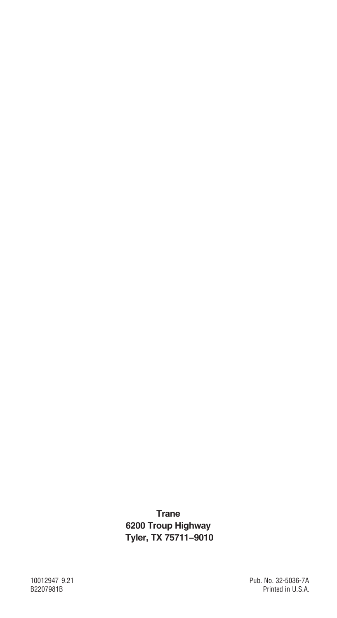**Trane 6200 Troup Highway Tyler, TX 75711-9010**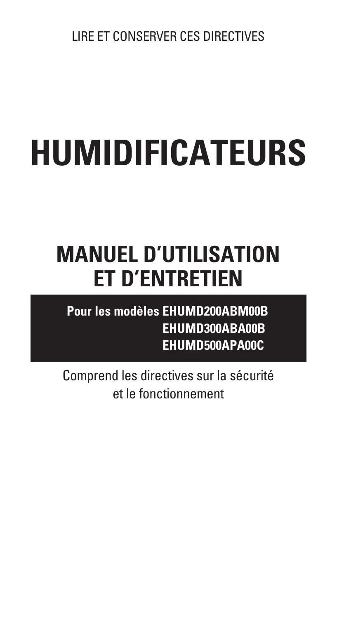# **HUMIDIFICATEURS**

# **MANUEL D'UTILISATION ET D'ENTRETIEN**

**Pour les modèles EHUMD200ABM00B EHUMD300ABA00B EHUMD500APA00C**

Comprend les directives sur la sécurité et le fonctionnement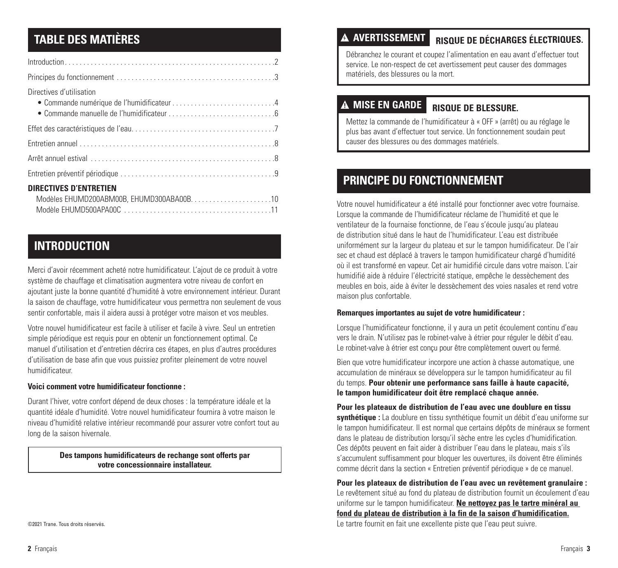# **TABLE DES MATIÈRES**

| Directives d'utilisation<br>• Commande numérique de l'humidificateur4 |
|-----------------------------------------------------------------------|
|                                                                       |
|                                                                       |
|                                                                       |
|                                                                       |
| <b>DIRECTIVES D'ENTRETIEN</b>                                         |

# **INTRODUCTION**

Merci d'avoir récemment acheté notre humidificateur. L'ajout de ce produit à votre système de chauffage et climatisation augmentera votre niveau de confort en ajoutant juste la bonne quantité d'humidité à votre environnement intérieur. Durant la saison de chauffage, votre humidificateur vous permettra non seulement de vous sentir confortable, mais il aidera aussi à protéger votre maison et vos meubles.

Votre nouvel humidificateur est facile à utiliser et facile à vivre. Seul un entretien simple périodique est requis pour en obtenir un fonctionnement optimal. Ce manuel d'utilisation et d'entretien décrira ces étapes, en plus d'autres procédures d'utilisation de base afin que vous puissiez profiter pleinement de votre nouvel humidificateur.

#### **Voici comment votre humidificateur fonctionne :**

Durant l'hiver, votre confort dépend de deux choses : la température idéale et la quantité idéale d'humidité. Votre nouvel humidificateur fournira à votre maison le niveau d'humidité relative intérieur recommandé pour assurer votre confort tout au long de la saison hivernale.

> **Des tampons humidificateurs de rechange sont offerts par votre concessionnaire installateur.**

#### **RISQUE DE DÉCHARGES ÉLECTRIQUES. AVERTISSEMENT**

Débranchez le courant et coupez l'alimentation en eau avant d'effectuer tout service. Le non-respect de cet avertissement peut causer des dommages matériels, des blessures ou la mort.

# **MISE EN GARDE**

## **RISQUE DE BLESSURE.**

Mettez la commande de l'humidificateur à « OFF » (arrêt) ou au réglage le plus bas avant d'effectuer tout service. Un fonctionnement soudain peut causer des blessures ou des dommages matériels.

# **PRINCIPE DU FONCTIONNEMENT**

Votre nouvel humidificateur a été installé pour fonctionner avec votre fournaise. Lorsque la commande de l'humidificateur réclame de l'humidité et que le ventilateur de la fournaise fonctionne, de l'eau s'écoule jusqu'au plateau de distribution situé dans le haut de l'humidificateur. L'eau est distribuée uniformément sur la largeur du plateau et sur le tampon humidificateur. De l'air sec et chaud est déplacé à travers le tampon humidificateur chargé d'humidité où il est transformé en vapeur. Cet air humidifié circule dans votre maison. L'air humidifié aide à réduire l'électricité statique, empêche le dessèchement des meubles en bois, aide à éviter le dessèchement des voies nasales et rend votre maison plus confortable.

#### **Remarques importantes au sujet de votre humidificateur :**

Lorsque l'humidificateur fonctionne, il y aura un petit écoulement continu d'eau vers le drain. N'utilisez pas le robinet-valve à étrier pour réguler le débit d'eau. Le robinet-valve à étrier est conçu pour être complètement ouvert ou fermé.

Bien que votre humidificateur incorpore une action à chasse automatique, une accumulation de minéraux se développera sur le tampon humidificateur au fil du temps. **Pour obtenir une performance sans faille à haute capacité, le tampon humidificateur doit être remplacé chaque année.** 

**Pour les plateaux de distribution de l'eau avec une doublure en tissu synthétique :** La doublure en tissu synthétique fournit un débit d'eau uniforme sur le tampon humidificateur. Il est normal que certains dépôts de minéraux se forment dans le plateau de distribution lorsqu'il sèche entre les cycles d'humidification. Ces dépôts peuvent en fait aider à distribuer l'eau dans le plateau, mais s'ils s'accumulent suffisamment pour bloquer les ouvertures, ils doivent être éliminés comme décrit dans la section « Entretien préventif périodique » de ce manuel.

**Pour les plateaux de distribution de l'eau avec un revêtement granulaire :** Le revêtement situé au fond du plateau de distribution fournit un écoulement d'eau uniforme sur le tampon humidificateur. **Ne nettoyez pas le tartre minéral au fond du plateau de distribution à la fin de la saison d'humidification.** Le tartre fournit en fait une excellente piste que l'eau peut suivre.

©2021 Trane. Tous droits réservés.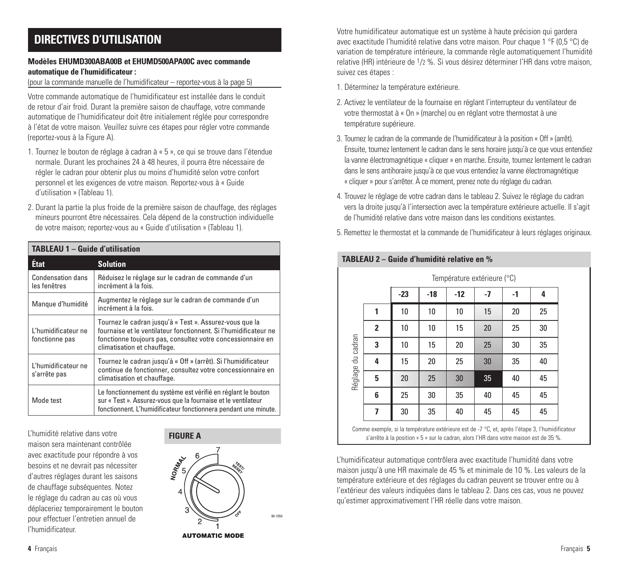# **DIRECTIVES D'UTILISATION**

#### **Modèles EHUMD300ABA00B et EHUMD500APA00C avec commande automatique de l'humidificateur :**

#### (pour la commande manuelle de l'humidificateur – reportez-vous à la page 5)

Votre commande automatique de l'humidificateur est installée dans le conduit de retour d'air froid. Durant la première saison de chauffage, votre commande automatique de l'humidificateur doit être initialement réglée pour correspondre à l'état de votre maison. Veuillez suivre ces étapes pour régler votre commande (reportez-vous à la Figure A).

- 1. Tournez le bouton de réglage à cadran à « 5 », ce qui se trouve dans l'étendue normale. Durant les prochaines 24 à 48 heures, il pourra être nécessaire de régler le cadran pour obtenir plus ou moins d'humidité selon votre confort personnel et les exigences de votre maison. Reportez-vous à « Guide d'utilisation » (Tableau 1).
- 2. Durant la partie la plus froide de la première saison de chauffage, des réglages mineurs pourront être nécessaires. Cela dépend de la construction individuelle de votre maison; reportez-vous au « Guide d'utilisation » (Tableau 1).

| <b>TABLEAU 1 - Guide d'utilisation</b>   |                                                                                                                                                                                                                           |  |  |  |
|------------------------------------------|---------------------------------------------------------------------------------------------------------------------------------------------------------------------------------------------------------------------------|--|--|--|
| État                                     | <b>Solution</b>                                                                                                                                                                                                           |  |  |  |
| <b>Condensation dans</b><br>les fenêtres | Réduisez le réglage sur le cadran de commande d'un<br>incrément à la fois.                                                                                                                                                |  |  |  |
| Manque d'humidité                        | Augmentez le réglage sur le cadran de commande d'un<br>incrément à la fois.                                                                                                                                               |  |  |  |
| l 'humidificateur ne<br>fonctionne pas   | Tournez le cadran jusqu'à « Test ». Assurez-vous que la<br>fournaise et le ventilateur fonctionnent. Si l'humidificateur ne<br>fonctionne toujours pas, consultez votre concessionnaire en<br>climatisation et chauffage. |  |  |  |
| L'humidificateur ne<br>s'arrête pas      | Tournez le cadran jusqu'à « Off » (arrêt). Si l'humidificateur<br>continue de fonctionner, consultez votre concessionnaire en<br>climatisation et chauffage.                                                              |  |  |  |
| Mode test                                | Le fonctionnement du système est vérifié en réglant le bouton<br>sur « Test ». Assurez-vous que la fournaise et le ventilateur<br>fonctionnent. L'humidificateur fonctionnera pendant une minute.                         |  |  |  |

L'humidité relative dans votre maison sera maintenant contrôlée avec exactitude pour répondre à vos besoins et ne devrait pas nécessiter d'autres réglages durant les saisons de chauffage subséquentes. Notez le réglage du cadran au cas où vous déplaceriez temporairement le bouton pour effectuer l'entretien annuel de l'humidificateur.



**AUTOMATIC MODE** 

90-1054

Votre humidificateur automatique est un système à haute précision qui gardera avec exactitude l'humidité relative dans votre maison. Pour chaque 1 °F (0,5 °C) de variation de température intérieure, la commande règle automatiquement l'humidité relative (HR) intérieure de 1/2 %. Si vous désirez déterminer l'HR dans votre maison, suivez ces étapes :

- 1. Déterminez la température extérieure.
- 2. Activez le ventilateur de la fournaise en réglant l'interrupteur du ventilateur de votre thermostat à « On » (marche) ou en réglant votre thermostat à une température supérieure.
- 3. Tournez le cadran de la commande de l'humidificateur à la position « Off » (arrêt). Ensuite, tournez lentement le cadran dans le sens horaire jusqu'à ce que vous entendiez la vanne électromagnétique « cliquer » en marche. Ensuite, tournez lentement le cadran dans le sens antihoraire jusqu'à ce que vous entendiez la vanne électromagnétique « cliquer » pour s'arrêter. À ce moment, prenez note du réglage du cadran.
- 4. Trouvez le réglage de votre cadran dans le tableau 2. Suivez le réglage du cadran vers la droite jusqu'à l'intersection avec la température extérieure actuelle. Il s'agit de l'humidité relative dans votre maison dans les conditions existantes.
- 5. Remettez le thermostat et la commande de l'humidificateur à leurs réglages originaux.

|                   |              | Température extérieure (°C) |       |       |      |      |    |
|-------------------|--------------|-----------------------------|-------|-------|------|------|----|
|                   |              | $-23$                       | $-18$ | $-12$ | $-7$ | $-1$ | 4  |
|                   | 1            | 10                          | 10    | 10    | 15   | 20   | 25 |
|                   | $\mathbf{2}$ | 10                          | 10    | 15    | 20   | 25   | 30 |
| Réglage du cadran | 3            | 10                          | 15    | 20    | 25   | 30   | 35 |
|                   | 4            | 15                          | 20    | 25    | 30   | 35   | 40 |
|                   | 5            | 20                          | 25    | 30    | 35   | 40   | 45 |
|                   | 6            | 25                          | 30    | 35    | 40   | 45   | 45 |
|                   | 7            | 30                          | 35    | 40    | 45   | 45   | 45 |

Comme exemple, si la température extérieure est de -7 °C, et, après l'étape 3, l'humidificateur s'arrête à la position « 5 » sur le cadran, alors l'HR dans votre maison est de 35 %.

L'humidificateur automatique contrôlera avec exactitude l'humidité dans votre maison jusqu'à une HR maximale de 45 % et minimale de 10 %. Les valeurs de la température extérieure et des réglages du cadran peuvent se trouver entre ou à l'extérieur des valeurs indiquées dans le tableau 2. Dans ces cas, vous ne pouvez qu'estimer approximativement l'HR réelle dans votre maison.

## **TABLEAU 2 – Guide d'humidité relative en %**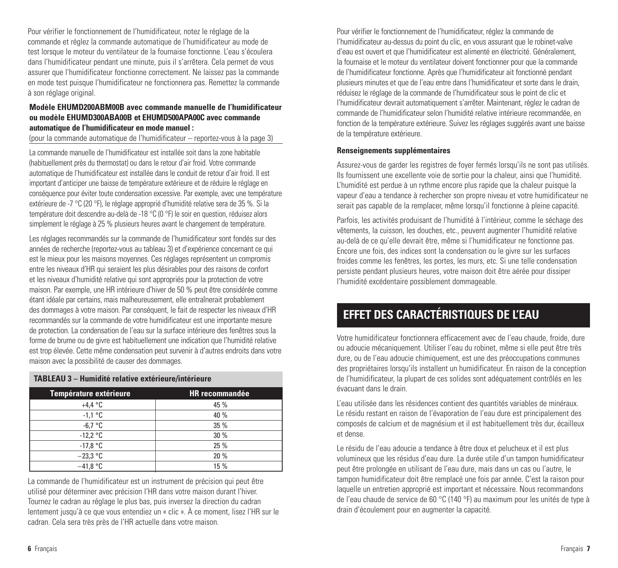Pour vérifier le fonctionnement de l'humidificateur, notez le réglage de la commande et réglez la commande automatique de l'humidificateur au mode de test lorsque le moteur du ventilateur de la fournaise fonctionne. L'eau s'écoulera dans l'humidificateur pendant une minute, puis il s'arrêtera. Cela permet de vous assurer que l'humidificateur fonctionne correctement. Ne laissez pas la commande en mode test puisque l'humidificateur ne fonctionnera pas. Remettez la commande à son réglage original.

#### **Modèle EHUMD200ABM00B avec commande manuelle de l'humidificateur ou modèle EHUMD300ABA00B et EHUMD500APA00C avec commande automatique de l'humidificateur en mode manuel :**

(pour la commande automatique de l'humidificateur – reportez-vous à la page 3)

La commande manuelle de l'humidificateur est installée soit dans la zone habitable (habituellement près du thermostat) ou dans le retour d'air froid. Votre commande automatique de l'humidificateur est installée dans le conduit de retour d'air froid. Il est important d'anticiper une baisse de température extérieure et de réduire le réglage en conséquence pour éviter toute condensation excessive. Par exemple, avec une température extérieure de -7 °C (20 °F), le réglage approprié d'humidité relative sera de 35 %. Si la température doit descendre au-delà de -18 °C (0 °F) le soir en question, réduisez alors simplement le réglage à 25 % plusieurs heures avant le changement de température.

Les réglages recommandés sur la commande de l'humidificateur sont fondés sur des années de recherche (reportez-vous au tableau 3) et d'expérience concernant ce qui est le mieux pour les maisons moyennes. Ces réglages représentent un compromis entre les niveaux d'HR qui seraient les plus désirables pour des raisons de confort et les niveaux d'humidité relative qui sont appropriés pour la protection de votre maison. Par exemple, une HR intérieure d'hiver de 50 % peut être considérée comme étant idéale par certains, mais malheureusement, elle entraînerait probablement des dommages à votre maison. Par conséquent, le fait de respecter les niveaux d'HR recommandés sur la commande de votre humidificateur est une importante mesure de protection. La condensation de l'eau sur la surface intérieure des fenêtres sous la forme de brume ou de givre est habituellement une indication que l'humidité relative est trop élevée. Cette même condensation peut survenir à d'autres endroits dans votre maison avec la possibilité de causer des dommages.

#### **TABLEAU 3 – Humidité relative extérieure/intérieure**

| <b>Température extérieure</b> | <b>HR recommandée</b> |
|-------------------------------|-----------------------|
| $+4.4 °C$                     | 45 %                  |
| $-1.1$ °C                     | 40 %                  |
| $-6.7 °C$                     | 35 %                  |
| $-12.2 °C$                    | 30 %                  |
| $-17.8 °C$                    | 25 %                  |
| $-23.3$ °C                    | 20 %                  |
| $-41.8 °C$                    | 15 %                  |

La commande de l'humidificateur est un instrument de précision qui peut être utilisé pour déterminer avec précision l'HR dans votre maison durant l'hiver. Tournez le cadran au réglage le plus bas, puis inversez la direction du cadran lentement jusqu'à ce que vous entendiez un « clic ». À ce moment, lisez l'HR sur le cadran. Cela sera très près de l'HR actuelle dans votre maison.

Pour vérifier le fonctionnement de l'humidificateur, réglez la commande de l'humidificateur au-dessus du point du clic, en vous assurant que le robinet-valve d'eau est ouvert et que l'humidificateur est alimenté en électricité. Généralement, la fournaise et le moteur du ventilateur doivent fonctionner pour que la commande de l'humidificateur fonctionne. Après que l'humidificateur ait fonctionné pendant plusieurs minutes et que de l'eau entre dans l'humidificateur et sorte dans le drain, réduisez le réglage de la commande de l'humidificateur sous le point de clic et l'humidificateur devrait automatiquement s'arrêter. Maintenant, réglez le cadran de commande de l'humidificateur selon l'humidité relative intérieure recommandée, en fonction de la température extérieure. Suivez les réglages suggérés avant une baisse de la température extérieure.

#### **Renseignements supplémentaires**

Assurez-vous de garder les registres de foyer fermés lorsqu'ils ne sont pas utilisés. Ils fournissent une excellente voie de sortie pour la chaleur, ainsi que l'humidité. L'humidité est perdue à un rythme encore plus rapide que la chaleur puisque la vapeur d'eau a tendance à rechercher son propre niveau et votre humidificateur ne serait pas capable de la remplacer, même lorsqu'il fonctionne à pleine capacité.

Parfois, les activités produisant de l'humidité à l'intérieur, comme le séchage des vêtements, la cuisson, les douches, etc., peuvent augmenter l'humidité relative au-delà de ce qu'elle devrait être, même si l'humidificateur ne fonctionne pas. Encore une fois, des indices sont la condensation ou le givre sur les surfaces froides comme les fenêtres, les portes, les murs, etc. Si une telle condensation persiste pendant plusieurs heures, votre maison doit être aérée pour dissiper l'humidité excédentaire possiblement dommageable.

# **EFFET DES CARACTÉRISTIQUES DE L'EAU**

Votre humidificateur fonctionnera efficacement avec de l'eau chaude, froide, dure ou adoucie mécaniquement. Utiliser l'eau du robinet, même si elle peut être très dure, ou de l'eau adoucie chimiquement, est une des préoccupations communes des propriétaires lorsqu'ils installent un humidificateur. En raison de la conception de l'humidificateur, la plupart de ces solides sont adéquatement contrôlés en les évacuant dans le drain.

L'eau utilisée dans les résidences contient des quantités variables de minéraux. Le résidu restant en raison de l'évaporation de l'eau dure est principalement des composés de calcium et de magnésium et il est habituellement très dur, écailleux et dense.

Le résidu de l'eau adoucie a tendance à être doux et pelucheux et il est plus volumineux que les résidus d'eau dure. La durée utile d'un tampon humidificateur peut être prolongée en utilisant de l'eau dure, mais dans un cas ou l'autre, le tampon humidificateur doit être remplacé une fois par année. C'est la raison pour laquelle un entretien approprié est important et nécessaire. Nous recommandons de l'eau chaude de service de 60 °C (140 °F) au maximum pour les unités de type à drain d'écoulement pour en augmenter la capacité.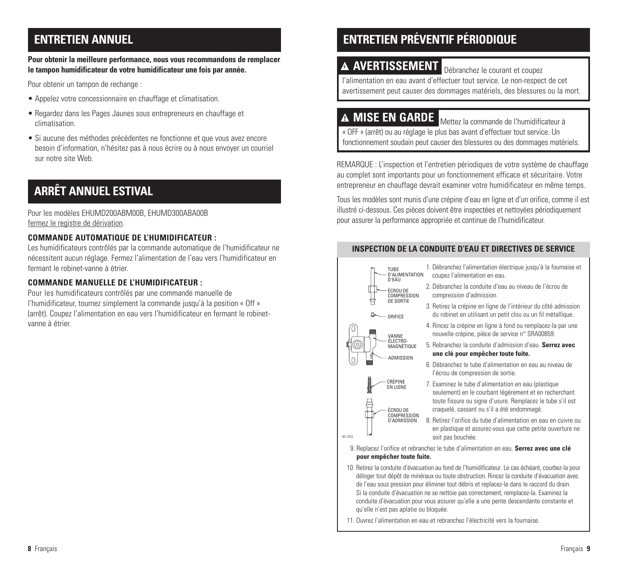# **ENTRETIEN ANNUEL**

#### **Pour obtenir la meilleure performance, nous vous recommandons de remplacer le tampon humidificateur de votre humidificateur une fois par année.**

Pour obtenir un tampon de rechange :

- Appelez votre concessionnaire en chauffage et climatisation.
- Regardez dans les Pages Jaunes sous entrepreneurs en chauffage et climatisation.
- Si aucune des méthodes précédentes ne fonctionne et que vous avez encore besoin d'information, n'hésitez pas à nous écrire ou à nous envoyer un courriel sur notre site Web.

# **ARRÊT ANNUEL ESTIVAL**

Pour les modèles EHUMD200ABM00B, EHUMD300ABA00B fermez le registre de dérivation.

# **COMMANDE AUTOMATIQUE DE L'HUMIDIFICATEUR :**

Les humidificateurs contrôlés par la commande automatique de l'humidificateur ne nécessitent aucun réglage. Fermez l'alimentation de l'eau vers l'humidificateur en fermant le robinet-vanne à étrier.

# **COMMANDE MANUELLE DE L'HUMIDIFICATEUR :**

Pour les humidificateurs contrôlés par une commande manuelle de l'humidificateur, tournez simplement la commande jusqu'à la position « Off » (arrêt). Coupez l'alimentation en eau vers l'humidificateur en fermant le robinetvanne à étrier.

# **ENTRETIEN PRÉVENTIF PÉRIODIQUE**

# **AVERTISSEMENT** Débranchez le courant et coupez

l'alimentation en eau avant d'effectuer tout service. Le non-respect de cet avertissement peut causer des dommages matériels, des blessures ou la mort.

**MISE EN GARDE** Mettez la commande de l'humidificateur à « OFF » (arrêt) ou au réglage le plus bas avant d'effectuer tout service. Un fonctionnement soudain peut causer des blessures ou des dommages matériels.

REMARQUE : L'inspection et l'entretien périodiques de votre système de chauffage au complet sont importants pour un fonctionnement efficace et sécuritaire. Votre entrepreneur en chauffage devrait examiner votre humidificateur en même temps.

Tous les modèles sont munis d'une crépine d'eau en ligne et d'un orifice, comme il est illustré ci-dessous. Ces pièces doivent être inspectées et nettoyées périodiquement pour assurer la performance appropriée et continue de l'humidificateur.

## **INSPECTION DE LA CONDUITE D'EAU ET DIRECTIVES DE SERVICE**



- 1. Débranchez l'alimentation électrique jusqu'à la fournaise et coupez l'alimentation en eau.
- 2. Débranchez la conduite d'eau au niveau de l'écrou de compression d'admission.
- 3. Retirez la crépine en ligne de l'intérieur du côté admission du robinet en utilisant un petit clou ou un fil métallique.
- 4. Rincez la crépine en ligne à fond ou remplacez-la par une nouvelle crépine, pièce de service n° SRA00859.
- 5. Rebranchez la conduite d'admission d'eau. **Serrez avec une clé pour empêcher toute fuite.**
- 6. Débranchez le tube d'alimentation en eau au niveau de l'écrou de compression de sortie.
- 7. Examinez le tube d'alimentation en eau (plastique seulement) en le courbant légèrement et en recherchant toute fissure ou signe d'usure. Remplacez le tube s'il est craquelé, cassant ou s'il a été endommagé.
- 8. Retirez l'orifice du tube d'alimentation en eau en cuivre ou en plastique et assurez-vous que cette petite ouverture ne soit pas bouchée.

 9. Replacez l'orifice et rebranchez le tube d'alimentation en eau. **Serrez avec une clé pour empêcher toute fuite.**

10. Retirez la conduite d'évacuation au fond de l'humidificateur. Le cas échéant, courbez-la pour déloger tout dépôt de minéraux ou toute obstruction. Rincez la conduite d'évacuation avec de l'eau sous pression pour éliminer tout débris et replacez-la dans le raccord du drain. Si la conduite d'évacuation ne se nettoie pas correctement, remplacez-la. Examinez la conduite d'évacuation pour vous assurer qu'elle a une pente descendante constante et qu'elle n'est pas aplatie ou bloquée.

11. Ouvrez l'alimentation en eau et rebranchez l'électricité vers la fournaise.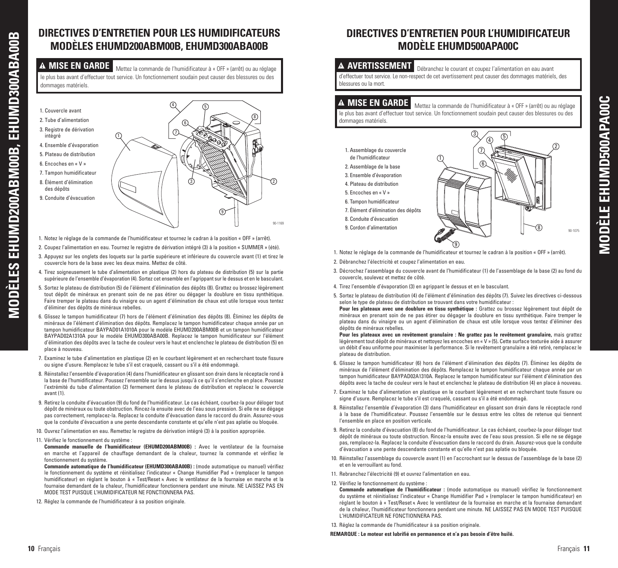# **DIRECTIVES D'ENTRETIEN POUR LES HUMIDIFICATEURS MODÈLES EHUMD200ABM00B, EHUMD300ABA00B**

**MODÈLES EHUMD200ABM00B, EHUMD300ABA00B**

EHUMD200ABM00B,

**MODÈLES** 

EHUMD300ABA00B

**MISE EN GARDE** Mettez la commande de l'humidificateur à « OFF » (arrêt) ou au réglage le plus bas avant d'effectuer tout service. Un fonctionnement soudain peut causer des blessures ou des dommages matériels.

- $(9)$ 6 3  $\circledR$ 8 5 2 1 4 1. Couvercle avant 2. Tube d'alimentation 3. Registre de dérivation intégré 4. Ensemble d'évaporation 5. Plateau de distribution 6. Encoches en « V » 7. Tampon humidificateur 8. Élément d'élimination des dépôts 9. Conduite d'évacuation 90-1169
- 1. Notez le réglage de la commande de l'humidificateur et tournez le cadran à la position « OFF » (arrêt).
- 2. Coupez l'alimentation en eau. Tournez le registre de dérivation intégré (3) à la position « SUMMER » (été).
- 3. Appuyez sur les onglets des loquets sur la partie supérieure et inférieure du couvercle avant (1) et tirez le couvercle hors de la base avec les deux mains. Mettez de côté.
- 4. Tirez soigneusement le tube d'alimentation en plastique (2) hors du plateau de distribution (5) sur la partie supérieure de l'ensemble d'évaporation (4). Sortez cet ensemble en l'agrippant sur le dessus et en le basculant.
- 5. Sortez le plateau de distribution (5) de l'élément d'élimination des dépôts (8). Grattez ou brossez légèrement tout dépôt de minéraux en prenant soin de ne pas étirer ou dégager la doublure en tissu synthétique. Faire tremper le plateau dans du vinaigre ou un agent d'élimination de chaux est utile lorsque vous tentez d'éliminer des dépôts de minéraux rebelles.
- 6. Glissez le tampon humidificateur (7) hors de l'élément d'élimination des dépôts (8). Éliminez les dépôts de minéraux de l'élément d'élimination des dépôts. Remplacez le tampon humidificateur chaque année par un tampon humidificateur BAYPAD01A1010A pour le modèle EHUMD200ABM00B et un tampon humidificateur BAYPAD02A1310A pour le modèle EHUMD300ABA00B. Replacez le tampon humidificateur sur l'élément d'élimination des dépôts avec la tache de couleur vers le haut et enclenchez le plateau de distribution (5) en place à nouveau.
- 7. Examinez le tube d'alimentation en plastique (2) en le courbant légèrement et en recherchant toute fissure ou signe d'usure. Remplacez le tube s'il est craquelé, cassant ou s'il a été endommagé.
- 8. Réinstallez l'ensemble d'évaporation (4) dans l'humidificateur en glissant son drain dans le réceptacle rond à la base de l'humidificateur. Poussez l'ensemble sur le dessus jusqu'à ce qu'il s'enclenche en place. Poussez l'extrémité du tube d'alimentation (2) fermement dans le plateau de distribution et replacez le couvercle avant (1).
- 9. Retirez la conduite d'évacuation (9) du fond de l'humidificateur. Le cas échéant, courbez-la pour déloger tout dépôt de minéraux ou toute obstruction. Rincez-la ensuite avec de l'eau sous pression. Si elle ne se dégage pas correctement, remplacez-la. Replacez la conduite d'évacuation dans le raccord du drain. Assurez-vous que la conduite d'évacuation a une pente descendante constante et qu'elle n'est pas aplatie ou bloquée.
- 10. Ouvrez l'alimentation en eau. Remettez le registre de dérivation intégré (3) à la position appropriée.

#### 11. Vérifiez le fonctionnement du système :

- **Commande manuelle de l'humidificateur (EHUMD200ABM00B) :** Avec le ventilateur de la fournaise en marche et l'appareil de chauffage demandant de la chaleur, tournez la commande et vérifiez le fonctionnement du système.
- **Commande automatique de l'humidificateur (EHUMD300ABA00B) :** (mode automatique ou manuel) vérifiez le fonctionnement du système et réinitialisez l'indicateur « Change Humidifier Pad » (remplacer le tampon humidificateur) en réglant le bouton à « Test/Reset ». Avec le ventilateur de la fournaise en marche et la fournaise demandant de la chaleur, l'humidificateur fonctionnera pendant une minute. NE LAISSEZ PAS EN MODE TEST PUISQUE L'HUMIDIFICATEUR NE FONCTIONNERA PAS.
- 12. Réglez la commande de l'humidificateur à sa position originale.

# **DIRECTIVES D'ENTRETIEN POUR L'HUMIDIFICATEUR MODÈLE EHUMD500APA00C**

#### <sup>a</sup> **AVERTISSEMENT** Débranchez le courant et coupez l'alimentation en eau avant

d'effectuer tout service. Le non-respect de cet avertissement peut causer des dommages matériels, des blessures ou la mort.

**A MISE EN GARDE** Mettez la commande de l'humidificateur à « OFF » (arrêt) ou au réglage le plus bas avant d'effectuer tout service. Un fonctionnement soudain peut causer des blessures ou des dommages matériels.

- 1. Assemblage du couvercle
- de l'humidificateur
- 2. Assemblage de la base
- 3. Ensemble d'évaporation 4. Plateau de distribution
- 5. Encoches en « V »
- 6. Tampon humidificateur
- 7. Élément d'élimination des dépôts
- 
- 8. Conduite d'évacuation
- 9. Cordon d'alimentation



- 1. Notez le réglage de la commande de l'humidificateur et tournez le cadran à la position « OFF » (arrêt).
- 2. Débranchez l'électricité et coupez l'alimentation en eau.
- 3. Décrochez l'assemblage du couvercle avant de l'humidificateur (1) de l'assemblage de la base (2) au fond du couvercle, soulevez et mettez de côté.
- 4. Tirez l'ensemble d'évaporation (3) en agrippant le dessus et en le basculant.
- 5. Sortez le plateau de distribution (4) de l'élément d'élimination des dépôts (7). Suivez les directives ci-dessous selon le type de plateau de distribution se trouvant dans votre humidificateur :

 **Pour les plateaux avec une doublure en tissu synthétique :** Grattez ou brossez légèrement tout dépôt de minéraux en prenant soin de ne pas étirer ou dégager la doublure en tissu synthétique. Faire tremper le plateau dans du vinaigre ou un agent d'élimination de chaux est utile lorsque vous tentez d'éliminer des dépôts de minéraux rebelles.

 **Pour les plateaux avec un revêtement granulaire : Ne grattez pas le revêtement granulaire,** mais grattez légèrement tout dépôt de minéraux et nettoyez les encoches en « V » (5)**.** Cette surface texturée aide à assurer un débit d'eau uniforme pour maximiser la performance. Si le revêtement granulaire a été retiré, remplacez le plateau de distribution.

- 6. Glissez le tampon humidificateur (6) hors de l'élément d'élimination des dépôts (7). Éliminez les dépôts de minéraux de l'élément d'élimination des dépôts. Remplacez le tampon humidificateur chaque année par un tampon humidificateur BAYPAD02A1310A. Replacez le tampon humidificateur sur l'élément d'élimination des dépôts avec la tache de couleur vers le haut et enclenchez le plateau de distribution (4) en place à nouveau.
- 7. Examinez le tube d'alimentation en plastique en le courbant légèrement et en recherchant toute fissure ou signe d'usure. Remplacez le tube s'il est craquelé, cassant ou s'il a été endommagé.
- 8. Réinstallez l'ensemble d'évaporation (3) dans l'humidificateur en glissant son drain dans le réceptacle rond à la base de l'humidificateur. Poussez l'ensemble sur le dessus entre les côtes de retenue qui tiennent l'ensemble en place en position verticale.
- 9. Retirez la conduite d'évacuation (8) du fond de l'humidificateur. Le cas échéant, courbez-la pour déloger tout dépôt de minéraux ou toute obstruction. Rincez-la ensuite avec de l'eau sous pression. Si elle ne se dégage pas, remplacez-la. Replacez la conduite d'évacuation dans le raccord du drain. Assurez-vous que la conduite d'évacuation a une pente descendante constante et qu'elle n'est pas aplatie ou bloquée.
- 10. Réinstallez l'assemblage du couvercle avant (1) en l'accrochant sur le dessus de l'assemblage de la base (2) et en le verrouillant au fond.
- 11. Rebranchez l'électricité (9) et ouvrez l'alimentation en eau.
- 12. Vérifiez le fonctionnement du système :
	- **Commande automatique de l'humidificateur :** (mode automatique ou manuel) vérifiez le fonctionnement du système et réinitialisez l'indicateur « Change Humidifier Pad » (remplacer le tampon humidificateur) en réglant le bouton à « Test/Reset ». Avec le ventilateur de la fournaise en marche et la fournaise demandant de la chaleur, l'humidificateur fonctionnera pendant une minute. NE LAISSEZ PAS EN MODE TEST PUISQUE L'HUMIDIFICATEUR NE FONCTIONNERA PAS.

13. Réglez la commande de l'humidificateur à sa position originale.

 **REMARQUE : Le moteur est lubrifié en permanence et n'a pas besoin d'être huilé.**